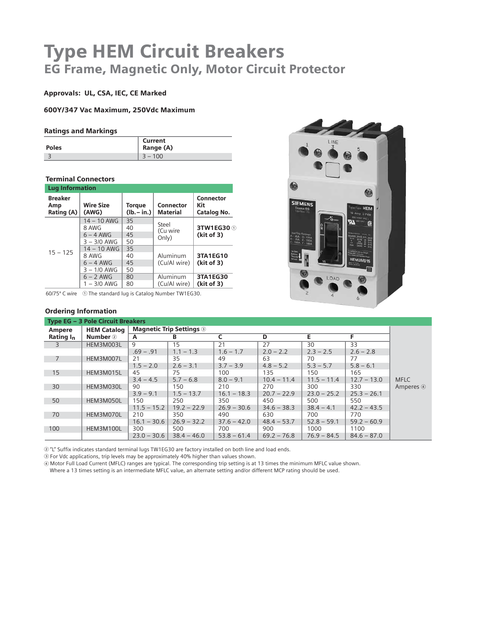# Type HEM Circuit Breakers EG Frame, Magnetic Only, Motor Circuit Protector

# Approvals: UL, CSA, IEC, CE Marked

600Y/347 Vac Maximum, 250Vdc Maximum

#### Ratings and Markings

| <b>Poles</b> | Current<br>Range (A) |
|--------------|----------------------|
|              | $3 - 100$            |

# Terminal Connectors

| <b>Lug Information</b>              |                           |                               |                                     |                                        |
|-------------------------------------|---------------------------|-------------------------------|-------------------------------------|----------------------------------------|
| <b>Breaker</b><br>Amp<br>Rating (A) | <b>Wire Size</b><br>(AWG) | <b>Torque</b><br>$(lb - in.)$ | <b>Connector</b><br><b>Material</b> | <b>Connector</b><br>Kit<br>Catalog No. |
|                                     | $14 - 10$ AWG             | 35                            |                                     |                                        |
|                                     | 8 AWG                     | 40                            | Steel<br>(Cu wire                   | 3TW1EG30 ①<br>(kit of 3)               |
|                                     | $6 - 4$ AWG               | 45                            | Only)                               |                                        |
|                                     | $3 - 3/0$ AWG             | 50                            |                                     |                                        |
|                                     | $14 - 10$ AWG             | 35                            |                                     |                                        |
| $15 - 125$                          | 8 AWG                     | 40                            | Aluminum                            | 3TA1EG10                               |
|                                     | $6 - 4$ AWG               | 45                            | (Cu/Al wire)                        | (kit of 3)                             |
|                                     | $3 - 1/0$ AWG             | 50                            |                                     |                                        |
|                                     | $6 - 2$ AWG               | 80                            | Aluminum                            | 3TA1EG30                               |
|                                     | $1 - 3/0$ AWG             | 80                            | (Cu/Al wire)                        | (kit of 3)                             |

60/75º C wire - The standard lug is Catalog Number TW1EG30.

# Ordering Information



|                       | <b>Type EG - 3 Pole Circuit Breakers</b> |               |                                 |               |               |               |               |             |
|-----------------------|------------------------------------------|---------------|---------------------------------|---------------|---------------|---------------|---------------|-------------|
| <b>Ampere</b>         | <b>HEM Catalog</b>                       |               | <b>Magnetic Trip Settings 3</b> |               |               |               |               |             |
| Rating I <sub>n</sub> | <b>Number</b> 2                          | A             | B                               |               | D             | E.            | F             |             |
| $\overline{3}$        | HEM3M003L                                | 9             | 15                              | 21            | 27            | 30            | 33            |             |
|                       |                                          | $.69 - .91$   | $1.1 - 1.3$                     | $1.6 - 1.7$   | $2.0 - 2.2$   | $2.3 - 2.5$   | $2.6 - 2.8$   |             |
| $\overline{7}$        | HEM3M007L                                | 21            | 35                              | 49            | 63            | 70            | 77            |             |
|                       |                                          | $1.5 - 2.0$   | $2.6 - 3.1$                     | $3.7 - 3.9$   | $4.8 - 5.2$   | $5.3 - 5.7$   | $5.8 - 6.1$   |             |
| 15                    | HEM3M015L                                | 45            | 75                              | 100           | 135           | 150           | 165           |             |
|                       |                                          | $3.4 - 4.5$   | $5.7 - 6.8$                     | $8.0 - 9.1$   | $10.4 - 11.4$ | $11.5 - 11.4$ | $12.7 - 13.0$ | <b>MFLC</b> |
| 30                    | HEM3M030L                                | 90            | 150                             | 210           | 270           | 300           | 330           | Amperes 4   |
|                       |                                          | $3.9 - 9.1$   | $1.5 - 13.7$                    | $16.1 - 18.3$ | $20.7 - 22.9$ | $23.0 - 25.2$ | $25.3 - 26.1$ |             |
| 50                    | HEM3M050L                                | 150           | 250                             | 350           | 450           | 500           | 550           |             |
|                       |                                          | $11.5 - 15.2$ | $19.2 - 22.9$                   | $26.9 - 30.6$ | $34.6 - 38.3$ | $38.4 - 4.1$  | $42.2 - 43.5$ |             |
| 70                    | HEM3M070L                                | 210           | 350                             | 490           | 630           | 700           | 770           |             |
|                       |                                          | $16.1 - 30.6$ | $26.9 - 32.2$                   | $37.6 - 42.0$ | $48.4 - 53.7$ | $52.8 - 59.1$ | $59.2 - 60.9$ |             |
| 100                   | HEM3M100L                                | 300           | 500                             | 700           | 900           | 1000          | 1100          |             |
|                       |                                          | $23.0 - 30.6$ | $38.4 - 46.0$                   | $53.8 - 61.4$ | $69.2 - 76.8$ | $76.9 - 84.5$ | $84.6 - 87.0$ |             |

"L" Suffix indicates standard terminal lugs TW1EG30 are factory installed on both line and load ends.

For Vdc applications, trip levels may be approximately 40% higher than values shown.

 Motor Full Load Current (MFLC) ranges are typical. The corresponding trip setting is at 13 times the minimum MFLC value shown. Where a 13 times setting is an intermediate MFLC value, an alternate setting and/or different MCP rating should be used.